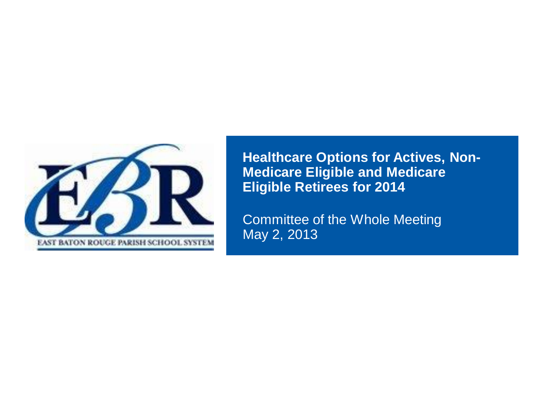

**Healthcare Options for Actives, Non-Medicare Eligible and Medicare Eligible Retirees for 2014**

Committee of the Whole Meeting May 2, 2013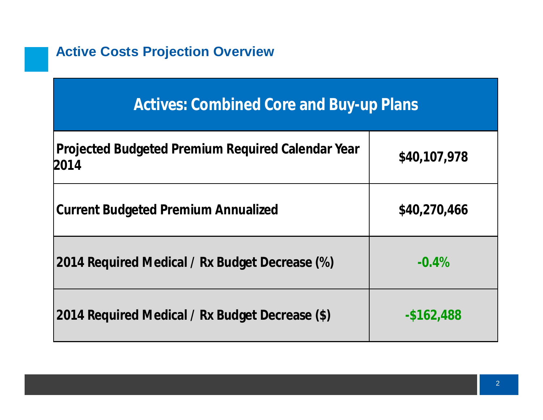### **Active Costs Projection Overview**

## **Actives: Combined Core and Buy-up Plans**

| Projected Budgeted Premium Required Calendar Year<br>2014 | \$40,107,978 |
|-----------------------------------------------------------|--------------|
| <b>Current Budgeted Premium Annualized</b>                | \$40,270,466 |
| 2014 Required Medical / Rx Budget Decrease (%)            | $-0.4%$      |
| 2014 Required Medical / Rx Budget Decrease (\$)           | $-$162,488$  |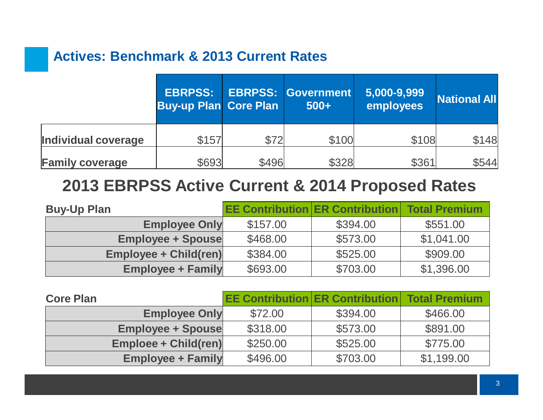### **Actives: Benchmark & 2013 Current Rates**

|                        | <b>EBRPSS:</b><br><b>Buy-up Plan Core Plan</b> |       | <b>EBRPSS: Government</b><br>$500+$ | 5,000-9,999<br>employees | <b>National All</b> |
|------------------------|------------------------------------------------|-------|-------------------------------------|--------------------------|---------------------|
| Individual coverage    | \$157                                          | \$72  | \$100                               | \$108                    | \$148               |
| <b>Family coverage</b> | \$693                                          | \$496 | \$328                               | \$361                    | \$544               |

## **2013 EBRPSS Active Current & 2014 Proposed Rates**

| <b>Buy-Up Plan</b>           |          | <b>EE Contribution ER Contribution   Total Premium</b> |            |
|------------------------------|----------|--------------------------------------------------------|------------|
| <b>Employee Only</b>         | \$157.00 | \$394.00                                               | \$551.00   |
| <b>Employee + Spouse</b>     | \$468.00 | \$573.00                                               | \$1,041.00 |
| <b>Employee + Child(ren)</b> | \$384.00 | \$525.00                                               | \$909.00   |
| <b>Employee + Family</b>     | \$693.00 | \$703.00                                               | \$1,396.00 |

| <b>Core Plan</b>         | <b>EE Contribution ER Contribution   Total Premium</b> |          |            |
|--------------------------|--------------------------------------------------------|----------|------------|
| <b>Employee Only</b>     | \$72.00                                                | \$394.00 | \$466.00   |
| <b>Employee + Spouse</b> | \$318.00                                               | \$573.00 | \$891.00   |
| Emploee + Child(ren)     | \$250.00                                               | \$525.00 | \$775.00   |
| <b>Employee + Family</b> | \$496.00                                               | \$703.00 | \$1,199.00 |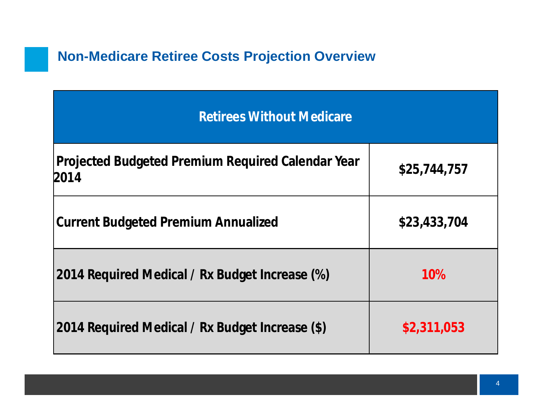## **Non-Medicare Retiree Costs Projection Overview**

| <b>Retirees Without Medicare</b>                          |              |  |  |  |
|-----------------------------------------------------------|--------------|--|--|--|
| Projected Budgeted Premium Required Calendar Year<br>2014 | \$25,744,757 |  |  |  |
| <b>Current Budgeted Premium Annualized</b>                | \$23,433,704 |  |  |  |
| 2014 Required Medical / Rx Budget Increase (%)            | 10%          |  |  |  |
| 2014 Required Medical / Rx Budget Increase (\$)           | \$2,311,053  |  |  |  |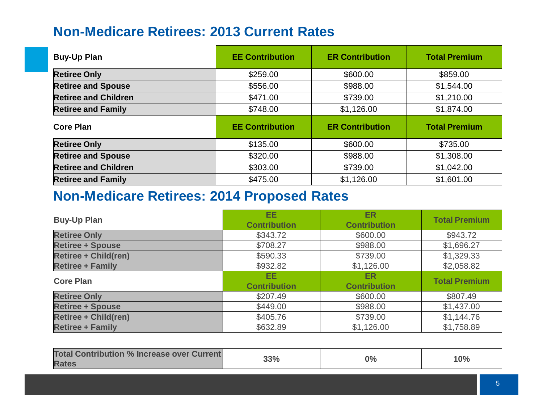### **Non-Medicare Retirees: 2013 Current Rates**

| <b>Buy-Up Plan</b>          | <b>EE Contribution</b> | <b>ER Contribution</b> | <b>Total Premium</b> |
|-----------------------------|------------------------|------------------------|----------------------|
| <b>Retiree Only</b>         | \$259.00               | \$600.00               | \$859.00             |
| <b>Retiree and Spouse</b>   | \$556.00               | \$988.00               | \$1,544.00           |
| <b>Retiree and Children</b> | \$471.00               | \$739.00               | \$1,210.00           |
| <b>Retiree and Family</b>   | \$748.00               | \$1,126.00             | \$1,874.00           |
|                             |                        |                        |                      |
| <b>Core Plan</b>            | <b>EE Contribution</b> | <b>ER Contribution</b> | <b>Total Premium</b> |
| <b>Retiree Only</b>         | \$135.00               | \$600.00               | \$735.00             |
| <b>Retiree and Spouse</b>   | \$320.00               | \$988.00               | \$1,308.00           |
| <b>Retiree and Children</b> | \$303.00               | \$739.00               | \$1,042.00           |

### **Non-Medicare Retirees: 2014 Proposed Rates**

| <b>Buy-Up Plan</b>          | EE.<br><b>Contribution</b> | <b>ER</b><br><b>Contribution</b> | <b>Total Premium</b> |
|-----------------------------|----------------------------|----------------------------------|----------------------|
| <b>Retiree Only</b>         | \$343.72                   | \$600.00                         | \$943.72             |
| <b>Retiree + Spouse</b>     | \$708.27                   | \$988.00                         | \$1,696.27           |
| <b>Retiree + Child(ren)</b> | \$590.33                   | \$739.00                         | \$1,329.33           |
| <b>Retiree + Family</b>     | \$932.82                   | \$1,126.00                       | \$2,058.82           |
| <b>Core Plan</b>            | EE.<br><b>Contribution</b> | ER.<br><b>Contribution</b>       | <b>Total Premium</b> |
| <b>Retiree Only</b>         | \$207.49                   | \$600.00                         | \$807.49             |
| <b>Retiree + Spouse</b>     | \$449.00                   | \$988.00                         | \$1,437.00           |
| <b>Retiree + Child(ren)</b> | \$405.76                   | \$739.00                         | \$1,144.76           |
| <b>Retiree + Family</b>     | \$632.89                   | \$1,126.00                       | \$1,758.89           |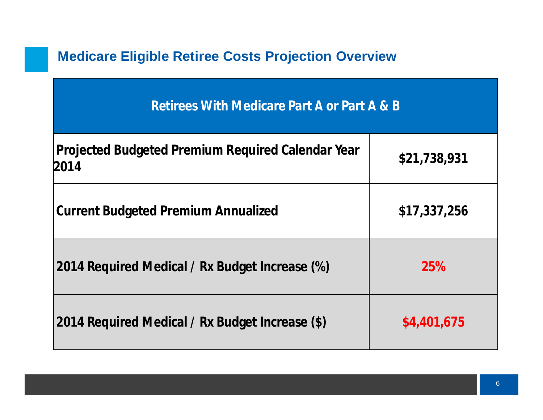## **Medicare Eligible Retiree Costs Projection Overview**

| Retirees With Medicare Part A or Part A & B               |              |  |  |  |
|-----------------------------------------------------------|--------------|--|--|--|
| Projected Budgeted Premium Required Calendar Year<br>2014 | \$21,738,931 |  |  |  |
| <b>Current Budgeted Premium Annualized</b>                | \$17,337,256 |  |  |  |
| 2014 Required Medical / Rx Budget Increase (%)            | 25%          |  |  |  |
| 2014 Required Medical / Rx Budget Increase (\$)           | \$4,401,675  |  |  |  |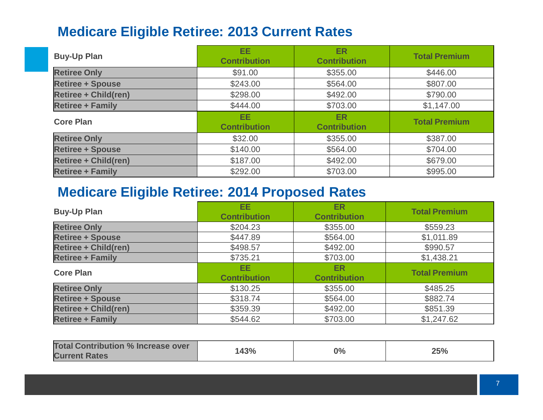## **Medicare Eligible Retiree: 2013 Current Rates**

| <b>Buy-Up Plan</b>          | <b>EE</b><br><b>Contribution</b> | <b>ER</b><br><b>Contribution</b> | <b>Total Premium</b> |
|-----------------------------|----------------------------------|----------------------------------|----------------------|
| <b>Retiree Only</b>         | \$91.00                          | \$355.00                         | \$446.00             |
| <b>Retiree + Spouse</b>     | \$243.00                         | \$564.00                         | \$807.00             |
| <b>Retiree + Child(ren)</b> | \$298.00                         | \$492.00                         | \$790.00             |
| <b>Retiree + Family</b>     | \$444.00                         | \$703.00                         | \$1,147.00           |
| <b>Core Plan</b>            | EE.<br><b>Contribution</b>       | <b>ER</b><br><b>Contribution</b> | <b>Total Premium</b> |
| <b>Retiree Only</b>         | \$32.00                          | \$355.00                         | \$387.00             |
| <b>Retiree + Spouse</b>     | \$140.00                         | \$564.00                         | \$704.00             |
| <b>Retiree + Child(ren)</b> | \$187.00                         | \$492.00                         | \$679.00             |
| <b>Retiree + Family</b>     |                                  |                                  |                      |

### **Medicare Eligible Retiree: 2014 Proposed Rates**

| <b>Buy-Up Plan</b>          | <b>EE</b><br><b>Contribution</b> | <b>ER</b><br><b>Contribution</b> | <b>Total Premium</b> |
|-----------------------------|----------------------------------|----------------------------------|----------------------|
| <b>Retiree Only</b>         | \$204.23                         | \$355.00                         | \$559.23             |
| <b>Retiree + Spouse</b>     | \$447.89                         | \$564.00                         | \$1,011.89           |
| <b>Retiree + Child(ren)</b> | \$498.57                         | \$492.00                         | \$990.57             |
| <b>Retiree + Family</b>     | \$735.21                         | \$703.00                         | \$1,438.21           |
| <b>Core Plan</b>            | EE.<br><b>Contribution</b>       | ER.<br><b>Contribution</b>       | <b>Total Premium</b> |
| <b>Retiree Only</b>         | \$130.25                         | \$355.00                         | \$485.25             |
| <b>Retiree + Spouse</b>     | \$318.74                         | \$564.00                         | \$882.74             |
| <b>Retiree + Child(ren)</b> | \$359.39                         | \$492.00                         | \$851.39             |
| <b>Retiree + Family</b>     | \$544.62                         | \$703.00                         | \$1,247.62           |

| <b>Total Contribution % Increase over</b> | 143% | $0\%$ | 25% |
|-------------------------------------------|------|-------|-----|
| <b>Current Rates</b>                      |      |       |     |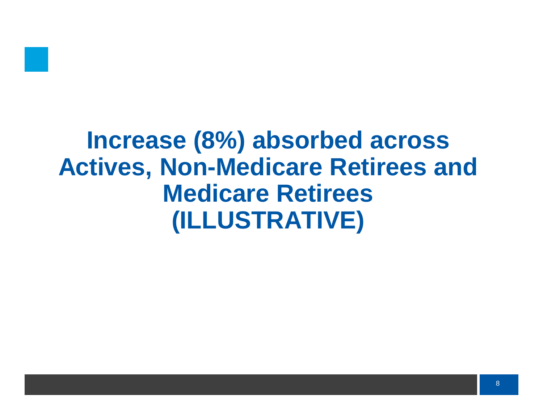

# **Increase (8%) absorbed across Actives, Non-Medicare Retirees and Medicare Retirees (ILLUSTRATIVE)**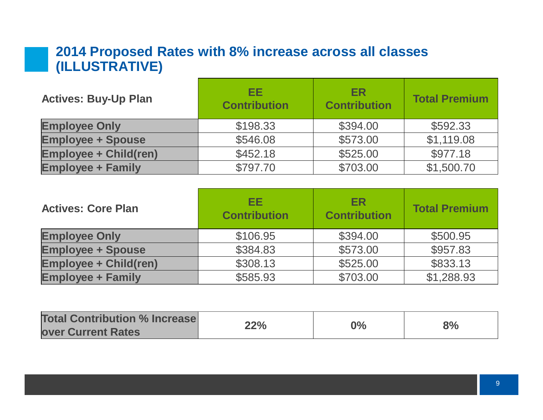### **2014 Proposed Rates with 8% increase across all classes (ILLUSTRATIVE)**

| <b>Actives: Buy-Up Plan</b>  | EE.<br><b>Contribution</b> | <b>ER</b><br><b>Contribution</b> | <b>Total Premium</b> |
|------------------------------|----------------------------|----------------------------------|----------------------|
| <b>Employee Only</b>         | \$198.33                   | \$394.00                         | \$592.33             |
| <b>Employee + Spouse</b>     | \$546.08                   | \$573.00                         | \$1,119.08           |
| <b>Employee + Child(ren)</b> | \$452.18                   | \$525.00                         | \$977.18             |
| <b>Employee + Family</b>     | \$797.70                   | \$703.00                         | \$1,500.70           |

| <b>Actives: Core Plan</b>    | EE.<br><b>Contribution</b> | <b>ER</b><br><b>Contribution</b> | <b>Total Premium</b> |
|------------------------------|----------------------------|----------------------------------|----------------------|
| <b>Employee Only</b>         | \$106.95                   | \$394.00                         | \$500.95             |
| <b>Employee + Spouse</b>     | \$384.83                   | \$573.00                         | \$957.83             |
| <b>Employee + Child(ren)</b> | \$308.13                   | \$525.00                         | \$833.13             |
| <b>Employee + Family</b>     | \$585.93                   | \$703.00                         | \$1,288.93           |

| <b>Total Contribution % Increase</b> |     |    |    |
|--------------------------------------|-----|----|----|
| <b>Over Current Rates</b>            | 22% | 9% | 8% |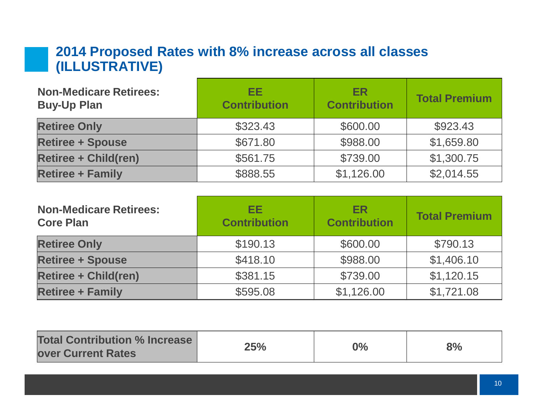#### **2014 Proposed Rates with 8% increase across all classes (ILLUSTRATIVE)** <u> 1980 - Johann Barbara, martxa a</u>

| <b>Non-Medicare Retirees:</b><br><b>Buy-Up Plan</b> | EE<br><b>Contribution</b> | <b>ER</b><br><b>Contribution</b> | <b>Total Premium</b> |
|-----------------------------------------------------|---------------------------|----------------------------------|----------------------|
| <b>Retiree Only</b>                                 | \$323.43                  | \$600.00                         | \$923.43             |
| <b>Retiree + Spouse</b>                             | \$671.80                  | \$988.00                         | \$1,659.80           |
| <b>Retiree + Child(ren)</b>                         | \$561.75                  | \$739.00                         | \$1,300.75           |
| <b>Retiree + Family</b>                             | \$888.55                  | \$1,126.00                       | \$2,014.55           |

| <b>Non-Medicare Retirees:</b><br><b>Core Plan</b> | EE.<br><b>Contribution</b> | <b>ER</b><br><b>Contribution</b> | <b>Total Premium</b> |
|---------------------------------------------------|----------------------------|----------------------------------|----------------------|
| <b>Retiree Only</b>                               | \$190.13                   | \$600.00                         | \$790.13             |
| <b>Retiree + Spouse</b>                           | \$418.10                   | \$988.00                         | \$1,406.10           |
| <b>Retiree + Child(ren)</b>                       | \$381.15                   | \$739.00                         | \$1,120.15           |
| <b>Retiree + Family</b>                           | \$595.08                   | \$1,126.00                       | \$1,721.08           |

| <b>Total Contribution % Increase</b><br><b>over Current Rates</b> | 25% | $0\%$ | 8% |
|-------------------------------------------------------------------|-----|-------|----|
|                                                                   |     |       |    |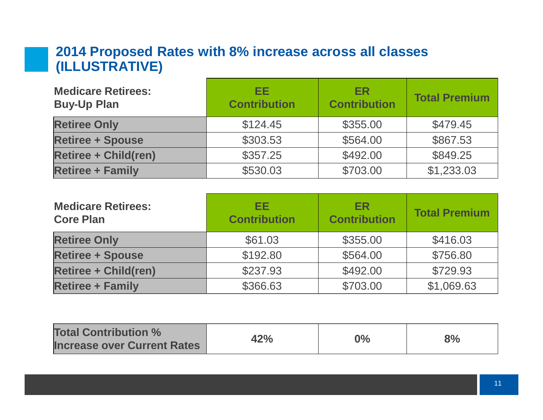### **2014 Proposed Rates with 8% increase across all classes (ILLUSTRATIVE)**

| <b>Medicare Retirees:</b><br><b>Buy-Up Plan</b> | EE<br><b>Contribution</b> | <b>ER</b><br><b>Contribution</b> | <b>Total Premium</b> |
|-------------------------------------------------|---------------------------|----------------------------------|----------------------|
| <b>Retiree Only</b>                             | \$124.45                  | \$355.00                         | \$479.45             |
| <b>Retiree + Spouse</b>                         | \$303.53                  | \$564.00                         | \$867.53             |
| <b>Retiree + Child(ren)</b>                     | \$357.25                  | \$492.00                         | \$849.25             |
| <b>Retiree + Family</b>                         | \$530.03                  | \$703.00                         | \$1,233.03           |

| <b>Medicare Retirees:</b><br><b>Core Plan</b> | EE.<br><b>Contribution</b> | <b>ER</b><br><b>Contribution</b> | <b>Total Premium</b> |
|-----------------------------------------------|----------------------------|----------------------------------|----------------------|
| <b>Retiree Only</b>                           | \$61.03                    | \$355.00                         | \$416.03             |
| <b>Retiree + Spouse</b>                       | \$192.80                   | \$564.00                         | \$756.80             |
| <b>Retiree + Child(ren)</b>                   | \$237.93                   | \$492.00                         | \$729.93             |
| <b>Retiree + Family</b>                       | \$366.63                   | \$703.00                         | \$1,069.63           |

| <b>Total Contribution %</b><br><b>Increase over Current Rates</b> | 42% | $0\%$ | 8% |
|-------------------------------------------------------------------|-----|-------|----|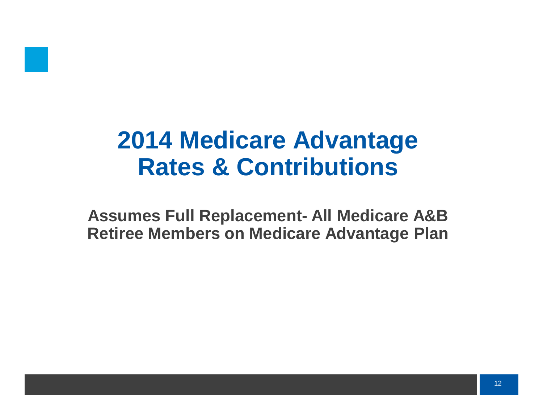

# **2014 Medicare Advantage Rates & Contributions**

**Assumes Full Replacement- All Medicare A&B Retiree Members on Medicare Advantage Plan**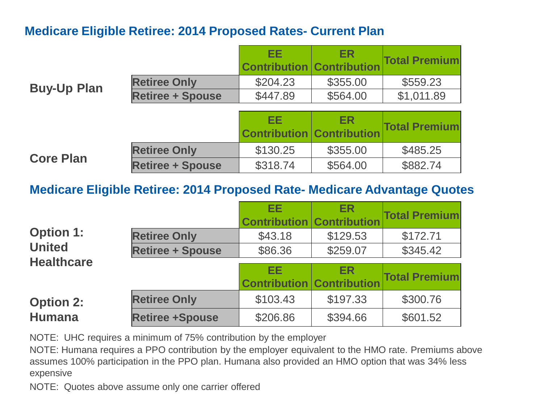#### **Medicare Eligible Retiree: 2014 Proposed Rates- Current Plan**

|                    |                         | EЕ<br><b>Contribution Contribution</b> | ER        | <b>Total Premium</b> |
|--------------------|-------------------------|----------------------------------------|-----------|----------------------|
|                    | <b>Retiree Only</b>     | \$204.23                               | \$355.00  | \$559.23             |
| <b>Buy-Up Plan</b> | <b>Retiree + Spouse</b> | \$447.89                               | \$564.00  | \$1,011.89           |
|                    |                         |                                        |           |                      |
|                    |                         | EЕ<br><b>Contribution Contribution</b> | <b>ER</b> | <b>Total Premium</b> |

**Retiree Only 19 S130.25 1 \$355.00 \$485.25 Core Plan Retiree + Spouse** \$318.74 \$564.00 \$882.74

#### **Medicare Eligible Retiree: 2014 Proposed Rate- Medicare Advantage Quotes**

|                   |                         | EE<br><b>Contribution Contribution</b> | <b>ER</b> | <b>Total Premium</b> |
|-------------------|-------------------------|----------------------------------------|-----------|----------------------|
| <b>Option 1:</b>  | <b>Retiree Only</b>     | \$43.18                                | \$129.53  | \$172.71             |
| <b>United</b>     | <b>Retiree + Spouse</b> | \$86.36                                | \$259.07  | \$345.42             |
| <b>Healthcare</b> |                         | EE<br><b>Contribution Contribution</b> | <b>ER</b> | <b>Total Premium</b> |
| <b>Option 2:</b>  | <b>Retiree Only</b>     | \$103.43                               | \$197.33  | \$300.76             |
| <b>Humana</b>     | <b>Retiree +Spouse</b>  | \$206.86                               | \$394.66  | \$601.52             |

NOTE: UHC requires a minimum of 75% contribution by the employer

NOTE: Humana requires a PPO contribution by the employer equivalent to the HMO rate. Premiums above assumes 100% participation in the PPO plan. Humana also provided an HMO option that was 34% less expensive

NOTE: Quotes above assume only one carrier offered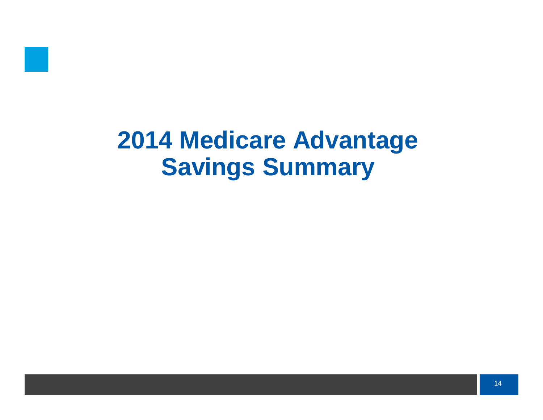

# **2014 Medicare Advantage Savings Summary**